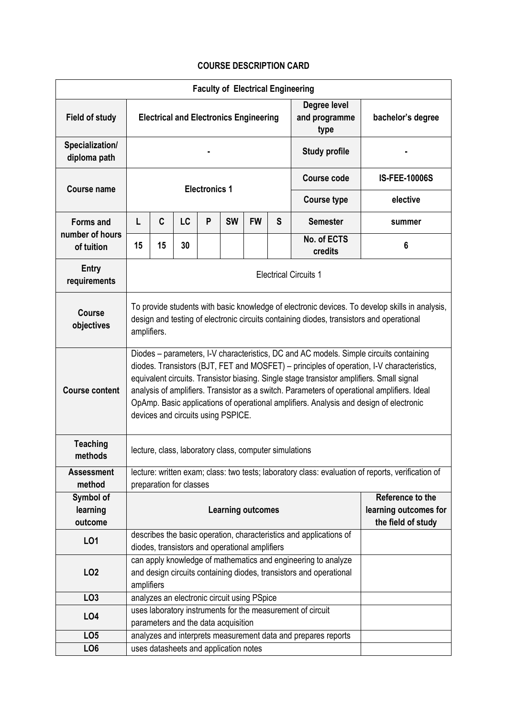## **COURSE DESCRIPTION CARD**

| <b>Faculty of Electrical Engineering</b> |                                                                                                                                                                                                                                                                                                                                                                                                                                                                                                                 |                          |    |   |           |                                             |   |                                                               |                      |  |  |
|------------------------------------------|-----------------------------------------------------------------------------------------------------------------------------------------------------------------------------------------------------------------------------------------------------------------------------------------------------------------------------------------------------------------------------------------------------------------------------------------------------------------------------------------------------------------|--------------------------|----|---|-----------|---------------------------------------------|---|---------------------------------------------------------------|----------------------|--|--|
| <b>Field of study</b>                    | <b>Electrical and Electronics Engineering</b>                                                                                                                                                                                                                                                                                                                                                                                                                                                                   |                          |    |   |           |                                             |   | Degree level<br>and programme<br>type                         | bachelor's degree    |  |  |
| Specialization/<br>diploma path          |                                                                                                                                                                                                                                                                                                                                                                                                                                                                                                                 |                          |    |   |           |                                             |   | <b>Study profile</b>                                          |                      |  |  |
| <b>Course name</b>                       | <b>Electronics 1</b>                                                                                                                                                                                                                                                                                                                                                                                                                                                                                            |                          |    |   |           |                                             |   | <b>Course code</b>                                            | <b>IS-FEE-10006S</b> |  |  |
|                                          |                                                                                                                                                                                                                                                                                                                                                                                                                                                                                                                 |                          |    |   |           |                                             |   | <b>Course type</b>                                            | elective             |  |  |
| <b>Forms and</b>                         | L                                                                                                                                                                                                                                                                                                                                                                                                                                                                                                               | C                        | LC | P | <b>SW</b> | <b>FW</b>                                   | S | <b>Semester</b>                                               | summer               |  |  |
| number of hours<br>of tuition            | 15                                                                                                                                                                                                                                                                                                                                                                                                                                                                                                              | 15                       | 30 |   |           |                                             |   | No. of ECTS<br>credits                                        | 6                    |  |  |
| <b>Entry</b><br>requirements             | <b>Electrical Circuits 1</b>                                                                                                                                                                                                                                                                                                                                                                                                                                                                                    |                          |    |   |           |                                             |   |                                                               |                      |  |  |
| <b>Course</b><br>objectives              | To provide students with basic knowledge of electronic devices. To develop skills in analysis,<br>design and testing of electronic circuits containing diodes, transistors and operational<br>amplifiers.                                                                                                                                                                                                                                                                                                       |                          |    |   |           |                                             |   |                                                               |                      |  |  |
| <b>Course content</b>                    | Diodes - parameters, I-V characteristics, DC and AC models. Simple circuits containing<br>diodes. Transistors (BJT, FET and MOSFET) - principles of operation, I-V characteristics,<br>equivalent circuits. Transistor biasing. Single stage transistor amplifiers. Small signal<br>analysis of amplifiers. Transistor as a switch. Parameters of operational amplifiers. Ideal<br>OpAmp. Basic applications of operational amplifiers. Analysis and design of electronic<br>devices and circuits using PSPICE. |                          |    |   |           |                                             |   |                                                               |                      |  |  |
| <b>Teaching</b><br>methods               | lecture, class, laboratory class, computer simulations                                                                                                                                                                                                                                                                                                                                                                                                                                                          |                          |    |   |           |                                             |   |                                                               |                      |  |  |
| <b>Assessment</b><br>method              | lecture: written exam; class: two tests; laboratory class: evaluation of reports, verification of<br>preparation for classes                                                                                                                                                                                                                                                                                                                                                                                    |                          |    |   |           |                                             |   |                                                               |                      |  |  |
| Symbol of                                | Reference to the                                                                                                                                                                                                                                                                                                                                                                                                                                                                                                |                          |    |   |           |                                             |   |                                                               |                      |  |  |
| learning                                 |                                                                                                                                                                                                                                                                                                                                                                                                                                                                                                                 | <b>Learning outcomes</b> |    |   |           | learning outcomes for                       |   |                                                               |                      |  |  |
| outcome                                  |                                                                                                                                                                                                                                                                                                                                                                                                                                                                                                                 |                          |    |   |           |                                             |   |                                                               | the field of study   |  |  |
| LO1                                      | describes the basic operation, characteristics and applications of<br>diodes, transistors and operational amplifiers                                                                                                                                                                                                                                                                                                                                                                                            |                          |    |   |           |                                             |   |                                                               |                      |  |  |
| LO <sub>2</sub>                          | can apply knowledge of mathematics and engineering to analyze<br>and design circuits containing diodes, transistors and operational<br>amplifiers                                                                                                                                                                                                                                                                                                                                                               |                          |    |   |           |                                             |   |                                                               |                      |  |  |
| LO <sub>3</sub>                          |                                                                                                                                                                                                                                                                                                                                                                                                                                                                                                                 |                          |    |   |           | analyzes an electronic circuit using PSpice |   |                                                               |                      |  |  |
| LO <sub>4</sub>                          | uses laboratory instruments for the measurement of circuit                                                                                                                                                                                                                                                                                                                                                                                                                                                      |                          |    |   |           |                                             |   |                                                               |                      |  |  |
|                                          | parameters and the data acquisition                                                                                                                                                                                                                                                                                                                                                                                                                                                                             |                          |    |   |           |                                             |   |                                                               |                      |  |  |
| LO <sub>5</sub>                          |                                                                                                                                                                                                                                                                                                                                                                                                                                                                                                                 |                          |    |   |           |                                             |   | analyzes and interprets measurement data and prepares reports |                      |  |  |
| LO <sub>6</sub>                          | uses datasheets and application notes                                                                                                                                                                                                                                                                                                                                                                                                                                                                           |                          |    |   |           |                                             |   |                                                               |                      |  |  |